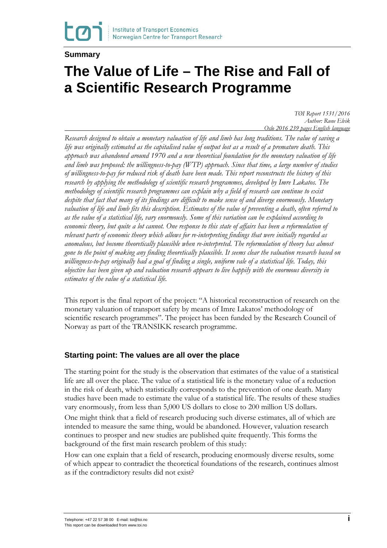### **Summary**

# **The Value of Life – The Rise and Fall of a Scientific Research Programme**

*TØI Report 1531/2016 Author: Rune Elvik Oslo 2016 239 pages English language*

*Research designed to obtain a monetary valuation of life and limb has long traditions. The value of saving a life was originally estimated as the capitalised value of output lost as a result of a premature death. This approach was abandoned around 1970 and a new theoretical foundation for the monetary valuation of life and limb was proposed: the willingness-to-pay (WTP) approach. Since that time, a large number of studies of willingness-to-pay for reduced risk of death have been made. This report reconstructs the history of this research by applying the methodology of scientific research programmes, developed by Imre Lakatos. The methodology of scientific research programmes can explain why a field of research can continue to exist despite that fact that many of its findings are difficult to make sense of and diverge enormously. Monetary valuation of life and limb fits this description. Estimates of the value of preventing a death, often referred to as the value of a statistical life, vary enormously. Some of this variation can be explained according to economic theory, but quite a lot cannot. One response to this state of affairs has been a reformulation of relevant parts of economic theory which allows for re-interpreting findings that were initially regarded as anomalous, but become theoretically plausible when re-interpreted. The reformulation of theory has almost gone to the point of making any finding theoretically plausible. It seems clear the valuation research based on willingness-to-pay originally had a goal of finding a single, uniform vale of a statistical life. Today, this objective has been given up and valuation research appears to live happily with the enormous diversity in estimates of the value of a statistical life.*

This report is the final report of the project: "A historical reconstruction of research on the monetary valuation of transport safety by means of Imre Lakatos' methodology of scientific research programmes". The project has been funded by the Research Council of Norway as part of the TRANSIKK research programme.

## **Starting point: The values are all over the place**

The starting point for the study is the observation that estimates of the value of a statistical life are all over the place. The value of a statistical life is the monetary value of a reduction in the risk of death, which statistically corresponds to the prevention of one death. Many studies have been made to estimate the value of a statistical life. The results of these studies vary enormously, from less than 5,000 US dollars to close to 200 million US dollars.

One might think that a field of research producing such diverse estimates, all of which are intended to measure the same thing, would be abandoned. However, valuation research continues to prosper and new studies are published quite frequently. This forms the background of the first main research problem of this study:

How can one explain that a field of research, producing enormously diverse results, some of which appear to contradict the theoretical foundations of the research, continues almost as if the contradictory results did not exist?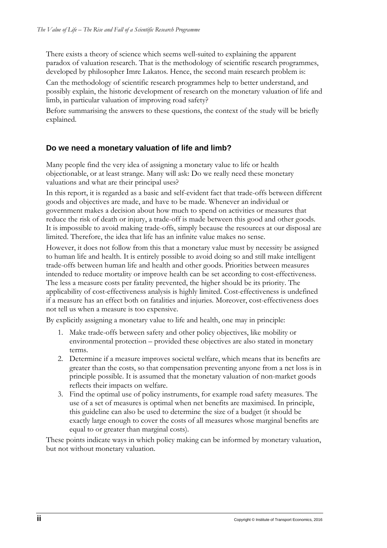There exists a theory of science which seems well-suited to explaining the apparent paradox of valuation research. That is the methodology of scientific research programmes, developed by philosopher Imre Lakatos. Hence, the second main research problem is:

Can the methodology of scientific research programmes help to better understand, and possibly explain, the historic development of research on the monetary valuation of life and limb, in particular valuation of improving road safety?

Before summarising the answers to these questions, the context of the study will be briefly explained.

# **Do we need a monetary valuation of life and limb?**

Many people find the very idea of assigning a monetary value to life or health objectionable, or at least strange. Many will ask: Do we really need these monetary valuations and what are their principal uses?

In this report, it is regarded as a basic and self-evident fact that trade-offs between different goods and objectives are made, and have to be made. Whenever an individual or government makes a decision about how much to spend on activities or measures that reduce the risk of death or injury, a trade-off is made between this good and other goods. It is impossible to avoid making trade-offs, simply because the resources at our disposal are limited. Therefore, the idea that life has an infinite value makes no sense.

However, it does not follow from this that a monetary value must by necessity be assigned to human life and health. It is entirely possible to avoid doing so and still make intelligent trade-offs between human life and health and other goods. Priorities between measures intended to reduce mortality or improve health can be set according to cost-effectiveness. The less a measure costs per fatality prevented, the higher should be its priority. The applicability of cost-effectiveness analysis is highly limited. Cost-effectiveness is undefined if a measure has an effect both on fatalities and injuries. Moreover, cost-effectiveness does not tell us when a measure is too expensive.

By explicitly assigning a monetary value to life and health, one may in principle:

- 1. Make trade-offs between safety and other policy objectives, like mobility or environmental protection – provided these objectives are also stated in monetary terms.
- 2. Determine if a measure improves societal welfare, which means that its benefits are greater than the costs, so that compensation preventing anyone from a net loss is in principle possible. It is assumed that the monetary valuation of non-market goods reflects their impacts on welfare.
- 3. Find the optimal use of policy instruments, for example road safety measures. The use of a set of measures is optimal when net benefits are maximised. In principle, this guideline can also be used to determine the size of a budget (it should be exactly large enough to cover the costs of all measures whose marginal benefits are equal to or greater than marginal costs).

These points indicate ways in which policy making can be informed by monetary valuation, but not without monetary valuation.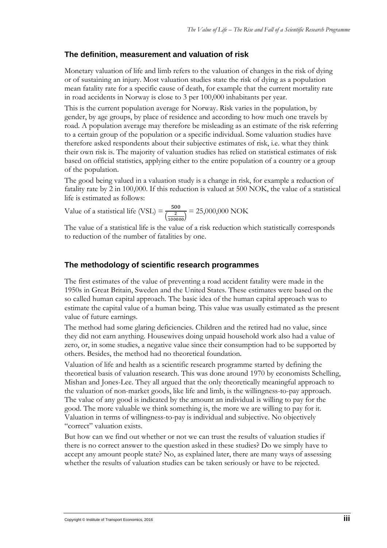## **The definition, measurement and valuation of risk**

Monetary valuation of life and limb refers to the valuation of changes in the risk of dying or of sustaining an injury. Most valuation studies state the risk of dying as a population mean fatality rate for a specific cause of death, for example that the current mortality rate in road accidents in Norway is close to 3 per 100,000 inhabitants per year.

This is the current population average for Norway. Risk varies in the population, by gender, by age groups, by place of residence and according to how much one travels by road. A population average may therefore be misleading as an estimate of the risk referring to a certain group of the population or a specific individual. Some valuation studies have therefore asked respondents about their subjective estimates of risk, i.e. what they think their own risk is. The majority of valuation studies has relied on statistical estimates of risk based on official statistics, applying either to the entire population of a country or a group of the population.

The good being valued in a valuation study is a change in risk, for example a reduction of fatality rate by 2 in 100,000. If this reduction is valued at 500 NOK, the value of a statistical life is estimated as follows:

Value of a statistical life (VSL) =  $\frac{500}{6}$  $\left(\frac{2}{100000}\right)$  $= 25,000,000$  NOK

The value of a statistical life is the value of a risk reduction which statistically corresponds to reduction of the number of fatalities by one.

# **The methodology of scientific research programmes**

The first estimates of the value of preventing a road accident fatality were made in the 1950s in Great Britain, Sweden and the United States. These estimates were based on the so called human capital approach. The basic idea of the human capital approach was to estimate the capital value of a human being. This value was usually estimated as the present value of future earnings.

The method had some glaring deficiencies. Children and the retired had no value, since they did not earn anything. Housewives doing unpaid household work also had a value of zero, or, in some studies, a negative value since their consumption had to be supported by others. Besides, the method had no theoretical foundation.

Valuation of life and health as a scientific research programme started by defining the theoretical basis of valuation research. This was done around 1970 by economists Schelling, Mishan and Jones-Lee. They all argued that the only theoretically meaningful approach to the valuation of non-market goods, like life and limb, is the willingness-to-pay approach. The value of any good is indicated by the amount an individual is willing to pay for the good. The more valuable we think something is, the more we are willing to pay for it. Valuation in terms of willingness-to-pay is individual and subjective. No objectively "correct" valuation exists.

But how can we find out whether or not we can trust the results of valuation studies if there is no correct answer to the question asked in these studies? Do we simply have to accept any amount people state? No, as explained later, there are many ways of assessing whether the results of valuation studies can be taken seriously or have to be rejected.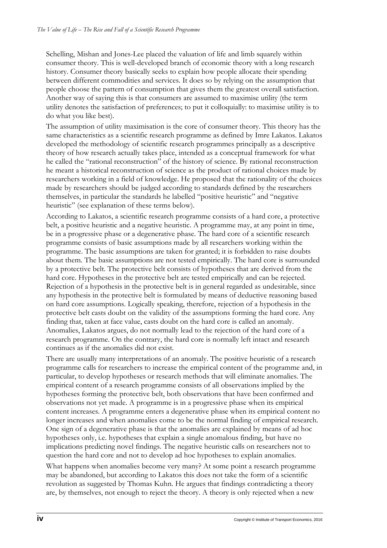Schelling, Mishan and Jones-Lee placed the valuation of life and limb squarely within consumer theory. This is well-developed branch of economic theory with a long research history. Consumer theory basically seeks to explain how people allocate their spending between different commodities and services. It does so by relying on the assumption that people choose the pattern of consumption that gives them the greatest overall satisfaction. Another way of saying this is that consumers are assumed to maximise utility (the term utility denotes the satisfaction of preferences; to put it colloquially: to maximise utility is to do what you like best).

The assumption of utility maximisation is the core of consumer theory. This theory has the same characteristics as a scientific research programme as defined by Imre Lakatos. Lakatos developed the methodology of scientific research programmes principally as a descriptive theory of how research actually takes place, intended as a conceptual framework for what he called the "rational reconstruction" of the history of science. By rational reconstruction he meant a historical reconstruction of science as the product of rational choices made by researchers working in a field of knowledge. He proposed that the rationality of the choices made by researchers should be judged according to standards defined by the researchers themselves, in particular the standards he labelled "positive heuristic" and "negative heuristic" (see explanation of these terms below).

According to Lakatos, a scientific research programme consists of a hard core, a protective belt, a positive heuristic and a negative heuristic. A programme may, at any point in time, be in a progressive phase or a degenerative phase. The hard core of a scientific research programme consists of basic assumptions made by all researchers working within the programme. The basic assumptions are taken for granted; it is forbidden to raise doubts about them. The basic assumptions are not tested empirically. The hard core is surrounded by a protective belt. The protective belt consists of hypotheses that are derived from the hard core. Hypotheses in the protective belt are tested empirically and can be rejected. Rejection of a hypothesis in the protective belt is in general regarded as undesirable, since any hypothesis in the protective belt is formulated by means of deductive reasoning based on hard core assumptions. Logically speaking, therefore, rejection of a hypothesis in the protective belt casts doubt on the validity of the assumptions forming the hard core. Any finding that, taken at face value, casts doubt on the hard core is called an anomaly. Anomalies, Lakatos argues, do not normally lead to the rejection of the hard core of a research programme. On the contrary, the hard core is normally left intact and research continues as if the anomalies did not exist.

There are usually many interpretations of an anomaly. The positive heuristic of a research programme calls for researchers to increase the empirical content of the programme and, in particular, to develop hypotheses or research methods that will eliminate anomalies. The empirical content of a research programme consists of all observations implied by the hypotheses forming the protective belt, both observations that have been confirmed and observations not yet made. A programme is in a progressive phase when its empirical content increases. A programme enters a degenerative phase when its empirical content no longer increases and when anomalies come to be the normal finding of empirical research. One sign of a degenerative phase is that the anomalies are explained by means of ad hoc hypotheses only, i.e. hypotheses that explain a single anomalous finding, but have no implications predicting novel findings. The negative heuristic calls on researchers not to question the hard core and not to develop ad hoc hypotheses to explain anomalies.

What happens when anomalies become very many? At some point a research programme may be abandoned, but according to Lakatos this does not take the form of a scientific revolution as suggested by Thomas Kuhn. He argues that findings contradicting a theory are, by themselves, not enough to reject the theory. A theory is only rejected when a new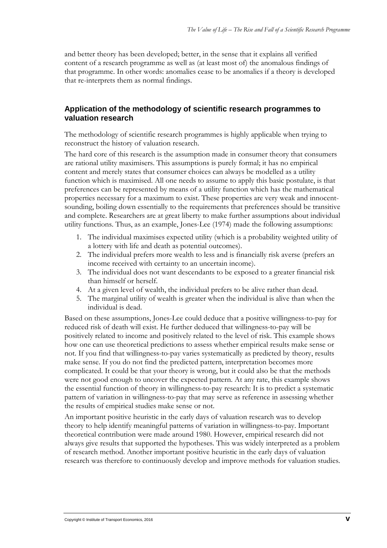and better theory has been developed; better, in the sense that it explains all verified content of a research programme as well as (at least most of) the anomalous findings of that programme. In other words: anomalies cease to be anomalies if a theory is developed that re-interprets them as normal findings.

## **Application of the methodology of scientific research programmes to valuation research**

The methodology of scientific research programmes is highly applicable when trying to reconstruct the history of valuation research.

The hard core of this research is the assumption made in consumer theory that consumers are rational utility maximisers. This assumptions is purely formal; it has no empirical content and merely states that consumer choices can always be modelled as a utility function which is maximised. All one needs to assume to apply this basic postulate, is that preferences can be represented by means of a utility function which has the mathematical properties necessary for a maximum to exist. These properties are very weak and innocentsounding, boiling down essentially to the requirements that preferences should be transitive and complete. Researchers are at great liberty to make further assumptions about individual utility functions. Thus, as an example, Jones-Lee (1974) made the following assumptions:

- 1. The individual maximises expected utility (which is a probability weighted utility of a lottery with life and death as potential outcomes).
- 2. The individual prefers more wealth to less and is financially risk averse (prefers an income received with certainty to an uncertain income).
- 3. The individual does not want descendants to be exposed to a greater financial risk than himself or herself.
- 4. At a given level of wealth, the individual prefers to be alive rather than dead.
- 5. The marginal utility of wealth is greater when the individual is alive than when the individual is dead.

Based on these assumptions, Jones-Lee could deduce that a positive willingness-to-pay for reduced risk of death will exist. He further deduced that willingness-to-pay will be positively related to income and positively related to the level of risk. This example shows how one can use theoretical predictions to assess whether empirical results make sense or not. If you find that willingness-to-pay varies systematically as predicted by theory, results make sense. If you do not find the predicted pattern, interpretation becomes more complicated. It could be that your theory is wrong, but it could also be that the methods were not good enough to uncover the expected pattern. At any rate, this example shows the essential function of theory in willingness-to-pay research: It is to predict a systematic pattern of variation in willingness-to-pay that may serve as reference in assessing whether the results of empirical studies make sense or not.

An important positive heuristic in the early days of valuation research was to develop theory to help identify meaningful patterns of variation in willingness-to-pay. Important theoretical contribution were made around 1980. However, empirical research did not always give results that supported the hypotheses. This was widely interpreted as a problem of research method. Another important positive heuristic in the early days of valuation research was therefore to continuously develop and improve methods for valuation studies.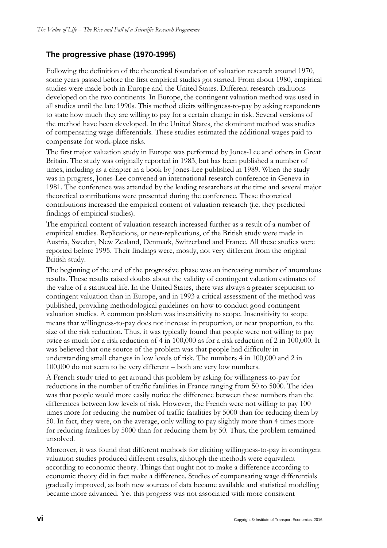# **The progressive phase (1970-1995)**

Following the definition of the theoretical foundation of valuation research around 1970, some years passed before the first empirical studies got started. From about 1980, empirical studies were made both in Europe and the United States. Different research traditions developed on the two continents. In Europe, the contingent valuation method was used in all studies until the late 1990s. This method elicits willingness-to-pay by asking respondents to state how much they are willing to pay for a certain change in risk. Several versions of the method have been developed. In the United States, the dominant method was studies of compensating wage differentials. These studies estimated the additional wages paid to compensate for work-place risks.

The first major valuation study in Europe was performed by Jones-Lee and others in Great Britain. The study was originally reported in 1983, but has been published a number of times, including as a chapter in a book by Jones-Lee published in 1989. When the study was in progress, Jones-Lee convened an international research conference in Geneva in 1981. The conference was attended by the leading researchers at the time and several major theoretical contributions were presented during the conference. These theoretical contributions increased the empirical content of valuation research (i.e. they predicted findings of empirical studies).

The empirical content of valuation research increased further as a result of a number of empirical studies. Replications, or near-replications, of the British study were made in Austria, Sweden, New Zealand, Denmark, Switzerland and France. All these studies were reported before 1995. Their findings were, mostly, not very different from the original British study.

The beginning of the end of the progressive phase was an increasing number of anomalous results. These results raised doubts about the validity of contingent valuation estimates of the value of a statistical life. In the United States, there was always a greater scepticism to contingent valuation than in Europe, and in 1993 a critical assessment of the method was published, providing methodological guidelines on how to conduct good contingent valuation studies. A common problem was insensitivity to scope. Insensitivity to scope means that willingness-to-pay does not increase in proportion, or near proportion, to the size of the risk reduction. Thus, it was typically found that people were not willing to pay twice as much for a risk reduction of 4 in 100,000 as for a risk reduction of 2 in 100,000. It was believed that one source of the problem was that people had difficulty in understanding small changes in low levels of risk. The numbers 4 in 100,000 and 2 in 100,000 do not seem to be very different – both are very low numbers.

A French study tried to get around this problem by asking for willingness-to-pay for reductions in the number of traffic fatalities in France ranging from 50 to 5000. The idea was that people would more easily notice the difference between these numbers than the differences between low levels of risk. However, the French were not willing to pay 100 times more for reducing the number of traffic fatalities by 5000 than for reducing them by 50. In fact, they were, on the average, only willing to pay slightly more than 4 times more for reducing fatalities by 5000 than for reducing them by 50. Thus, the problem remained unsolved.

Moreover, it was found that different methods for eliciting willingness-to-pay in contingent valuation studies produced different results, although the methods were equivalent according to economic theory. Things that ought not to make a difference according to economic theory did in fact make a difference. Studies of compensating wage differentials gradually improved, as both new sources of data became available and statistical modelling became more advanced. Yet this progress was not associated with more consistent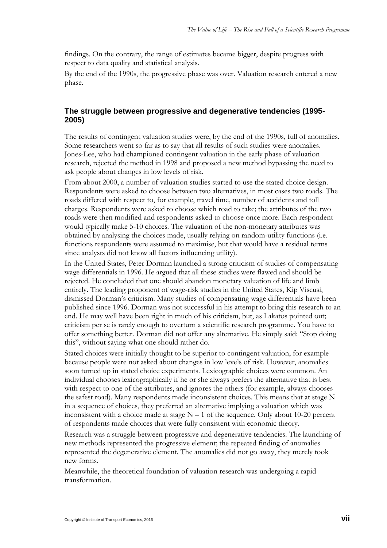findings. On the contrary, the range of estimates became bigger, despite progress with respect to data quality and statistical analysis.

By the end of the 1990s, the progressive phase was over. Valuation research entered a new phase.

## **The struggle between progressive and degenerative tendencies (1995- 2005)**

The results of contingent valuation studies were, by the end of the 1990s, full of anomalies. Some researchers went so far as to say that all results of such studies were anomalies. Jones-Lee, who had championed contingent valuation in the early phase of valuation research, rejected the method in 1998 and proposed a new method bypassing the need to ask people about changes in low levels of risk.

From about 2000, a number of valuation studies started to use the stated choice design. Respondents were asked to choose between two alternatives, in most cases two roads. The roads differed with respect to, for example, travel time, number of accidents and toll charges. Respondents were asked to choose which road to take; the attributes of the two roads were then modified and respondents asked to choose once more. Each respondent would typically make 5-10 choices. The valuation of the non-monetary attributes was obtained by analysing the choices made, usually relying on random-utility functions (i.e. functions respondents were assumed to maximise, but that would have a residual terms since analysts did not know all factors influencing utility).

In the United States, Peter Dorman launched a strong criticism of studies of compensating wage differentials in 1996. He argued that all these studies were flawed and should be rejected. He concluded that one should abandon monetary valuation of life and limb entirely. The leading proponent of wage-risk studies in the United States, Kip Viscusi, dismissed Dorman's criticism. Many studies of compensating wage differentials have been published since 1996. Dorman was not successful in his attempt to bring this research to an end. He may well have been right in much of his criticism, but, as Lakatos pointed out; criticism per se is rarely enough to overturn a scientific research programme. You have to offer something better. Dorman did not offer any alternative. He simply said: "Stop doing this", without saying what one should rather do.

Stated choices were initially thought to be superior to contingent valuation, for example because people were not asked about changes in low levels of risk. However, anomalies soon turned up in stated choice experiments. Lexicographic choices were common. An individual chooses lexicographically if he or she always prefers the alternative that is best with respect to one of the attributes, and ignores the others (for example, always chooses the safest road). Many respondents made inconsistent choices. This means that at stage N in a sequence of choices, they preferred an alternative implying a valuation which was inconsistent with a choice made at stage  $N - 1$  of the sequence. Only about 10-20 percent of respondents made choices that were fully consistent with economic theory.

Research was a struggle between progressive and degenerative tendencies. The launching of new methods represented the progressive element; the repeated finding of anomalies represented the degenerative element. The anomalies did not go away, they merely took new forms.

Meanwhile, the theoretical foundation of valuation research was undergoing a rapid transformation.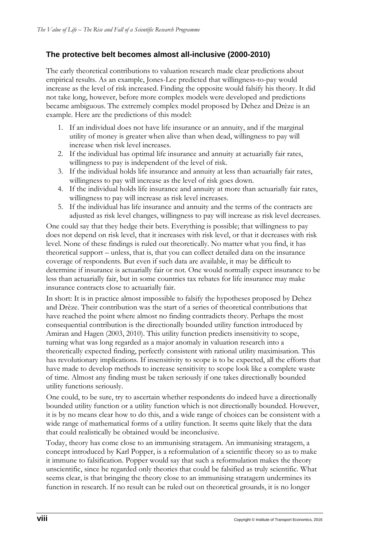# **The protective belt becomes almost all-inclusive (2000-2010)**

The early theoretical contributions to valuation research made clear predictions about empirical results. As an example, Jones-Lee predicted that willingness-to-pay would increase as the level of risk increased. Finding the opposite would falsify his theory. It did not take long, however, before more complex models were developed and predictions became ambiguous. The extremely complex model proposed by Dehez and Drèze is an example. Here are the predictions of this model:

- 1. If an individual does not have life insurance or an annuity, and if the marginal utility of money is greater when alive than when dead, willingness to pay will increase when risk level increases.
- 2. If the individual has optimal life insurance and annuity at actuarially fair rates, willingness to pay is independent of the level of risk.
- 3. If the individual holds life insurance and annuity at less than actuarially fair rates, willingness to pay will increase as the level of risk goes down.
- 4. If the individual holds life insurance and annuity at more than actuarially fair rates, willingness to pay will increase as risk level increases.
- 5. If the individual has life insurance and annuity and the terms of the contracts are adjusted as risk level changes, willingness to pay will increase as risk level decreases.

One could say that they hedge their bets. Everything is possible; that willingness to pay does not depend on risk level, that it increases with risk level, or that it decreases with risk level. None of these findings is ruled out theoretically. No matter what you find, it has theoretical support – unless, that is, that you can collect detailed data on the insurance coverage of respondents. But even if such data are available, it may be difficult to determine if insurance is actuarially fair or not. One would normally expect insurance to be less than actuarially fair, but in some countries tax rebates for life insurance may make insurance contracts close to actuarially fair.

In short: It is in practice almost impossible to falsify the hypotheses proposed by Dehez and Drèze. Their contribution was the start of a series of theoretical contributions that have reached the point where almost no finding contradicts theory. Perhaps the most consequential contribution is the directionally bounded utility function introduced by Amiran and Hagen (2003, 2010). This utility function predicts insensitivity to scope, turning what was long regarded as a major anomaly in valuation research into a theoretically expected finding, perfectly consistent with rational utility maximisation. This has revolutionary implications. If insensitivity to scope is to be expected, all the efforts that have made to develop methods to increase sensitivity to scope look like a complete waste of time. Almost any finding must be taken seriously if one takes directionally bounded utility functions seriously.

One could, to be sure, try to ascertain whether respondents do indeed have a directionally bounded utility function or a utility function which is not directionally bounded. However, it is by no means clear how to do this, and a wide range of choices can be consistent with a wide range of mathematical forms of a utility function. It seems quite likely that the data that could realistically be obtained would be inconclusive.

Today, theory has come close to an immunising stratagem. An immunising stratagem, a concept introduced by Karl Popper, is a reformulation of a scientific theory so as to make it immune to falsification. Popper would say that such a reformulation makes the theory unscientific, since he regarded only theories that could be falsified as truly scientific. What seems clear, is that bringing the theory close to an immunising stratagem undermines its function in research. If no result can be ruled out on theoretical grounds, it is no longer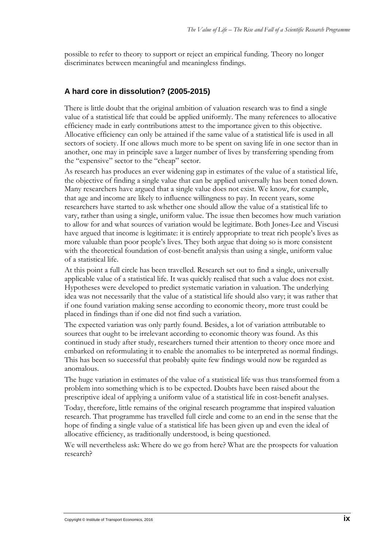possible to refer to theory to support or reject an empirical funding. Theory no longer discriminates between meaningful and meaningless findings.

### **A hard core in dissolution? (2005-2015)**

There is little doubt that the original ambition of valuation research was to find a single value of a statistical life that could be applied uniformly. The many references to allocative efficiency made in early contributions attest to the importance given to this objective. Allocative efficiency can only be attained if the same value of a statistical life is used in all sectors of society. If one allows much more to be spent on saving life in one sector than in another, one may in principle save a larger number of lives by transferring spending from the "expensive" sector to the "cheap" sector.

As research has produces an ever widening gap in estimates of the value of a statistical life, the objective of finding a single value that can be applied universally has been toned down. Many researchers have argued that a single value does not exist. We know, for example, that age and income are likely to influence willingness to pay. In recent years, some researchers have started to ask whether one should allow the value of a statistical life to vary, rather than using a single, uniform value. The issue then becomes how much variation to allow for and what sources of variation would be legitimate. Both Jones-Lee and Viscusi have argued that income is legitimate: it is entirely appropriate to treat rich people's lives as more valuable than poor people's lives. They both argue that doing so is more consistent with the theoretical foundation of cost-benefit analysis than using a single, uniform value of a statistical life.

At this point a full circle has been travelled. Research set out to find a single, universally applicable value of a statistical life. It was quickly realised that such a value does not exist. Hypotheses were developed to predict systematic variation in valuation. The underlying idea was not necessarily that the value of a statistical life should also vary; it was rather that if one found variation making sense according to economic theory, more trust could be placed in findings than if one did not find such a variation.

The expected variation was only partly found. Besides, a lot of variation attributable to sources that ought to be irrelevant according to economic theory was found. As this continued in study after study, researchers turned their attention to theory once more and embarked on reformulating it to enable the anomalies to be interpreted as normal findings. This has been so successful that probably quite few findings would now be regarded as anomalous.

The huge variation in estimates of the value of a statistical life was thus transformed from a problem into something which is to be expected. Doubts have been raised about the prescriptive ideal of applying a uniform value of a statistical life in cost-benefit analyses.

Today, therefore, little remains of the original research programme that inspired valuation research. That programme has travelled full circle and come to an end in the sense that the hope of finding a single value of a statistical life has been given up and even the ideal of allocative efficiency, as traditionally understood, is being questioned.

We will nevertheless ask: Where do we go from here? What are the prospects for valuation research?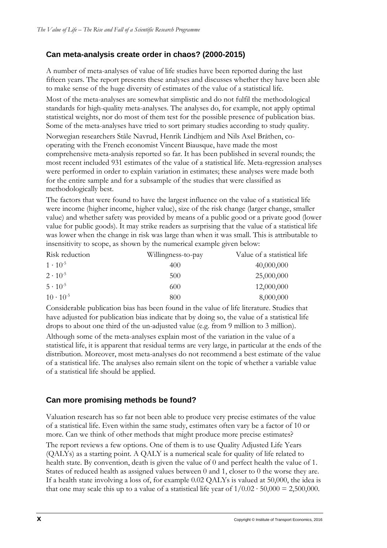# **Can meta-analysis create order in chaos? (2000-2015)**

A number of meta-analyses of value of life studies have been reported during the last fifteen years. The report presents these analyses and discusses whether they have been able to make sense of the huge diversity of estimates of the value of a statistical life.

Most of the meta-analyses are somewhat simplistic and do not fulfil the methodological standards for high-quality meta-analyses. The analyses do, for example, not apply optimal statistical weights, nor do most of them test for the possible presence of publication bias. Some of the meta-analyses have tried to sort primary studies according to study quality.

Norwegian researchers Ståle Navrud, Henrik Lindhjem and Nils Axel Bråthen, cooperating with the French economist Vincent Biausque, have made the most comprehensive meta-analysis reported so far. It has been published in several rounds; the most recent included 931 estimates of the value of a statistical life. Meta-regression analyses were performed in order to explain variation in estimates; these analyses were made both for the entire sample and for a subsample of the studies that were classified as methodologically best.

The factors that were found to have the largest influence on the value of a statistical life were income (higher income, higher value), size of the risk change (larger change, smaller value) and whether safety was provided by means of a public good or a private good (lower value for public goods). It may strike readers as surprising that the value of a statistical life was lower when the change in risk was large than when it was small. This is attributable to insensitivity to scope, as shown by the numerical example given below:

| Risk reduction     | Willingness-to-pay | Value of a statistical life |
|--------------------|--------------------|-----------------------------|
| $1 \cdot 10^{-5}$  | 400                | 40,000,000                  |
| $2 \cdot 10^{-5}$  | 500                | 25,000,000                  |
| $5 \cdot 10^{-5}$  | 600                | 12,000,000                  |
| $10 \cdot 10^{-5}$ | 800                | 8,000,000                   |

Considerable publication bias has been found in the value of life literature. Studies that have adjusted for publication bias indicate that by doing so, the value of a statistical life drops to about one third of the un-adjusted value (e.g. from 9 million to 3 million).

Although some of the meta-analyses explain most of the variation in the value of a statistical life, it is apparent that residual terms are very large, in particular at the ends of the distribution. Moreover, most meta-analyses do not recommend a best estimate of the value of a statistical life. The analyses also remain silent on the topic of whether a variable value of a statistical life should be applied.

# **Can more promising methods be found?**

Valuation research has so far not been able to produce very precise estimates of the value of a statistical life. Even within the same study, estimates often vary be a factor of 10 or more. Can we think of other methods that might produce more precise estimates?

The report reviews a few options. One of them is to use Quality Adjusted Life Years (QALYs) as a starting point. A QALY is a numerical scale for quality of life related to health state. By convention, death is given the value of 0 and perfect health the value of 1. States of reduced health as assigned values between 0 and 1, closer to 0 the worse they are. If a health state involving a loss of, for example 0.02 QALYs is valued at 50,000, the idea is that one may scale this up to a value of a statistical life year of  $1/0.02 \cdot 50,000 = 2,500,000$ .